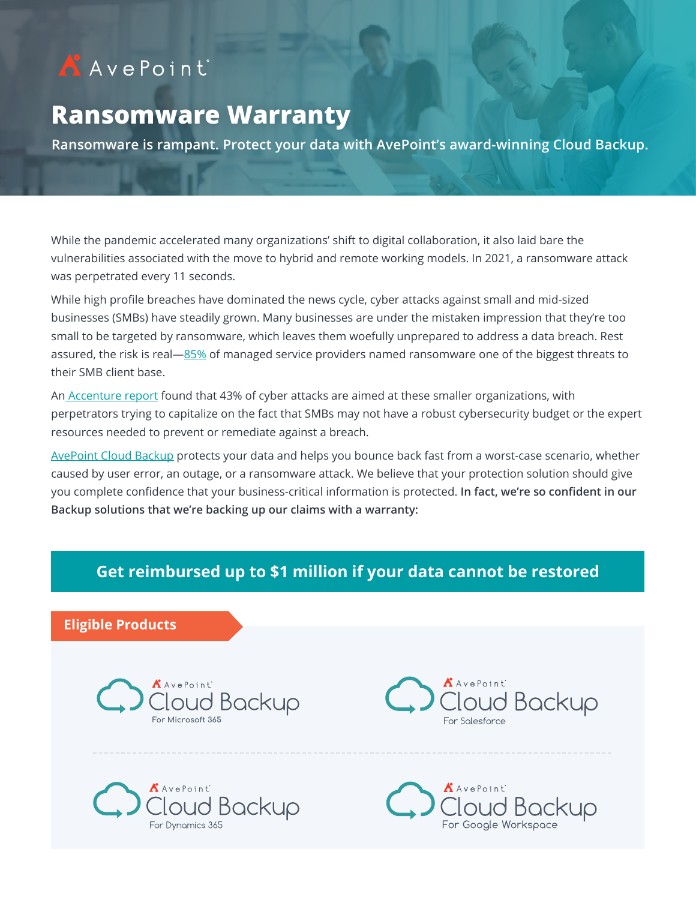# AAvePoint

## **Ransomware Warranty**

**Ransomware is rampant. Protect your data with AvePoint's award-winning Cloud Backup.** 

While the pandemic accelerated many organizations' shift to digital collaboration, it also laid bare the vulnerabilities associated with the move to hybrid and remote working models. In 2021, a ransomware attack was perpetrated every 11 seconds.

While high profile breaches have dominated the news cycle, cyber attacks against small and mid-sized businesses (SMBs) have steadily grown. Many businesses are under the mistaken impression that they're too small to be targeted by ransomware, which leaves them woefully unprepared to address a data breach. Rest assured, the risk is real—[85%](https://www.datto.com/resources/dattos-2020-global-state-of-the-channel-ransomware-report) of managed service providers named ransomware one of the biggest threats to their SMB client base.

A[n Accenture report](https://www.accenture.com/us-en/insights/security/cost-cybercrime-study) found that 43% of cyber attacks are aimed at these smaller organizations, with perpetrators trying to capitalize on the fact that SMBs may not have a robust cybersecurity budget or the expert resources needed to prevent or remediate against a breach.

[AvePoint Cloud Backup](https://www.avepoint.com/products/cloud/backup) protects your data and helps you bounce back fast from a worst-case scenario, whether caused by user error, an outage, or a ransomware attack. We believe that your protection solution should give you complete confidence that your business-critical information is protected. **In fact, we're so confident in our Backup solutions that we're backing up our claims with a warranty:** 

## **Get reimbursed up to \$1 million if your data cannot be restored**

#### **Eligible Products**





<sup>AvePoint</sup><br>||oud Backup